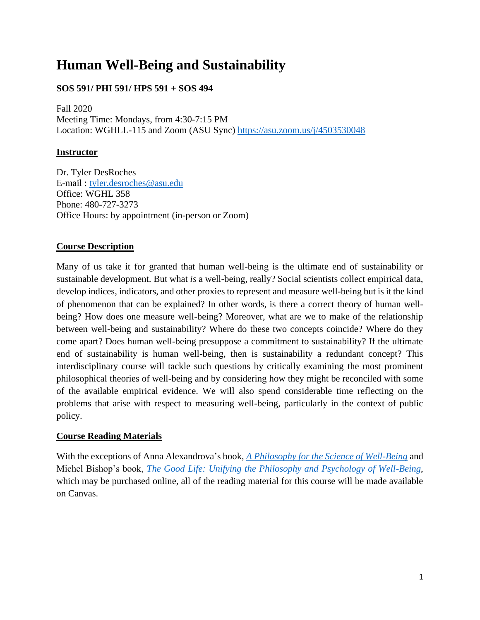# **Human Well-Being and Sustainability**

## **SOS 591/ PHI 591/ HPS 591 + SOS 494**

Fall 2020 Meeting Time: Mondays, from 4:30-7:15 PM Location: WGHLL-115 and Zoom (ASU Sync) <https://asu.zoom.us/j/4503530048>

## **Instructor**

Dr. Tyler DesRoches E-mail : [tyler.desroches@asu.edu](mailto:tyler.desroches@asu.edu) Office: WGHL 358 Phone: 480-727-3273 Office Hours: by appointment (in-person or Zoom)

## **Course Description**

Many of us take it for granted that human well-being is the ultimate end of sustainability or sustainable development. But what *is* a well-being, really? Social scientists collect empirical data, develop indices, indicators, and other proxies to represent and measure well-being but is it the kind of phenomenon that can be explained? In other words, is there a correct theory of human wellbeing? How does one measure well-being? Moreover, what are we to make of the relationship between well-being and sustainability? Where do these two concepts coincide? Where do they come apart? Does human well-being presuppose a commitment to sustainability? If the ultimate end of sustainability is human well-being, then is sustainability a redundant concept? This interdisciplinary course will tackle such questions by critically examining the most prominent philosophical theories of well-being and by considering how they might be reconciled with some of the available empirical evidence. We will also spend considerable time reflecting on the problems that arise with respect to measuring well-being, particularly in the context of public policy.

## **Course Reading Materials**

With the exceptions of Anna Alexandrova's book, *[A Philosophy for the Science of Well-Being](http://www.oxfordscholarship.com/view/10.1093/oso/9780199300518.001.0001/oso-9780199300518)* and Michel Bishop's book, *[The Good Life: Unifying the Philosophy and Psychology of Well-Being](https://www.amazon.com/Good-Life-Philosophy-Psychology-Well-Being/dp/0190603801/ref=mt_paperback?_encoding=UTF8&me=)*, which may be purchased online, all of the reading material for this course will be made available on Canvas.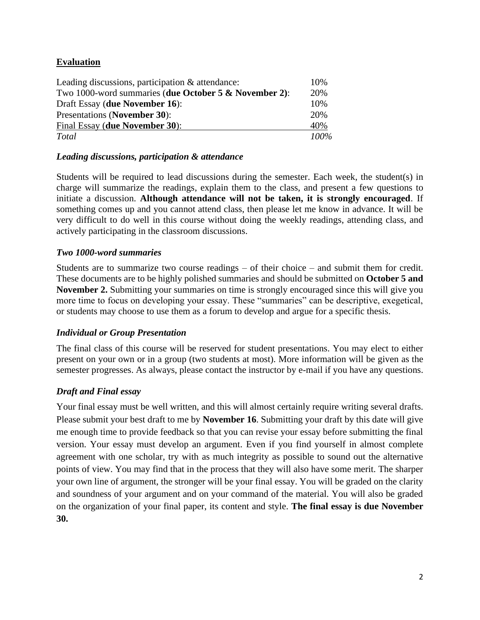## **Evaluation**

| Leading discussions, participation & attendance:      | 10%  |
|-------------------------------------------------------|------|
| Two 1000-word summaries (due October 5 & November 2): | 20%  |
| Draft Essay (due November 16):                        | 10%  |
| <b>Presentations (November 30):</b>                   | 20%  |
| Final Essay (due November 30):                        | 40%  |
| <b>Total</b>                                          | 100% |

#### *Leading discussions, participation & attendance*

Students will be required to lead discussions during the semester. Each week, the student(s) in charge will summarize the readings, explain them to the class, and present a few questions to initiate a discussion. **Although attendance will not be taken, it is strongly encouraged**. If something comes up and you cannot attend class, then please let me know in advance. It will be very difficult to do well in this course without doing the weekly readings, attending class, and actively participating in the classroom discussions.

#### *Two 1000-word summaries*

Students are to summarize two course readings – of their choice – and submit them for credit. These documents are to be highly polished summaries and should be submitted on **October 5 and November 2.** Submitting your summaries on time is strongly encouraged since this will give you more time to focus on developing your essay. These "summaries" can be descriptive, exegetical, or students may choose to use them as a forum to develop and argue for a specific thesis.

#### *Individual or Group Presentation*

The final class of this course will be reserved for student presentations. You may elect to either present on your own or in a group (two students at most). More information will be given as the semester progresses. As always, please contact the instructor by e-mail if you have any questions.

## *Draft and Final essay*

Your final essay must be well written, and this will almost certainly require writing several drafts. Please submit your best draft to me by **November 16**. Submitting your draft by this date will give me enough time to provide feedback so that you can revise your essay before submitting the final version. Your essay must develop an argument. Even if you find yourself in almost complete agreement with one scholar, try with as much integrity as possible to sound out the alternative points of view. You may find that in the process that they will also have some merit. The sharper your own line of argument, the stronger will be your final essay. You will be graded on the clarity and soundness of your argument and on your command of the material. You will also be graded on the organization of your final paper, its content and style. **The final essay is due November 30.**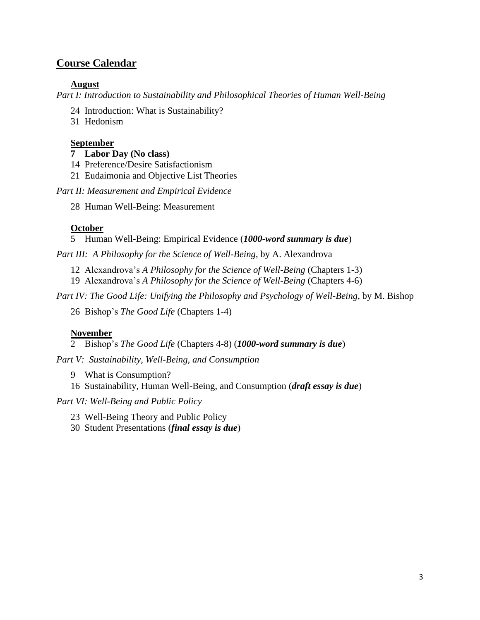## **Course Calendar**

#### **August**

*Part I: Introduction to Sustainability and Philosophical Theories of Human Well-Being*

- 24 Introduction: What is Sustainability?
- 31 Hedonism

#### **September**

- **7 Labor Day (No class)**
- 14 Preference/Desire Satisfactionism
- 21 Eudaimonia and Objective List Theories

#### *Part II: Measurement and Empirical Evidence*

28 Human Well-Being: Measurement

## **October**

5 Human Well-Being: Empirical Evidence (*1000-word summary is due*)

*Part III: A Philosophy for the Science of Well-Being*, by A. Alexandrova

- 12 Alexandrova's *A Philosophy for the Science of Well-Being* (Chapters 1-3)
- 19 Alexandrova's *A Philosophy for the Science of Well-Being* (Chapters 4-6)

*Part IV: The Good Life: Unifying the Philosophy and Psychology of Well-Being*, by M. Bishop

26 Bishop's *The Good Life* (Chapters 1-4)

## **November**

2 Bishop's *The Good Life* (Chapters 4-8) (*1000-word summary is due*)

*Part V: Sustainability, Well-Being, and Consumption*

- 9 What is Consumption?
- 16 Sustainability, Human Well-Being, and Consumption (*draft essay is due*)

*Part VI: Well-Being and Public Policy*

- 23 Well-Being Theory and Public Policy
- 30 Student Presentations (*final essay is due*)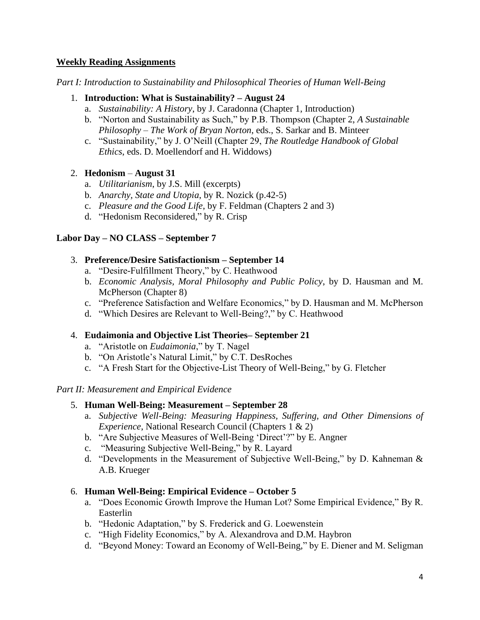#### **Weekly Reading Assignments**

*Part I: Introduction to Sustainability and Philosophical Theories of Human Well-Being*

#### 1. **Introduction: What is Sustainability? – August 24**

- a. *Sustainability: A History*, by J. Caradonna (Chapter 1, Introduction)
- b. "Norton and Sustainability as Such," by P.B. Thompson (Chapter 2, *A Sustainable Philosophy – The Work of Bryan Norton*, eds., S. Sarkar and B. Minteer
- c. "Sustainability," by J. O'Neill (Chapter 29, *The Routledge Handbook of Global Ethics*, eds. D. Moellendorf and H. Widdows)

#### 2. **Hedonism** – **August 31**

- a. *Utilitarianism*, by J.S. Mill (excerpts)
- b. *Anarchy, State and Utopia*, by R. Nozick (p.42-5)
- c. *Pleasure and the Good Life*, by F. Feldman (Chapters 2 and 3)
- d. "Hedonism Reconsidered," by R. Crisp

#### **Labor Day – NO CLASS – September 7**

#### 3. **Preference/Desire Satisfactionism – September 14**

- a. "Desire-Fulfillment Theory," by C. Heathwood
- b. *Economic Analysis, Moral Philosophy and Public Policy*, by D. Hausman and M. McPherson (Chapter 8)
- c. "Preference Satisfaction and Welfare Economics," by D. Hausman and M. McPherson
- d. "Which Desires are Relevant to Well-Being?," by C. Heathwood

#### 4. **Eudaimonia and Objective List Theories– September 21**

- a. "Aristotle on *Eudaimonia*," by T. Nagel
- b. "On Aristotle's Natural Limit," by C.T. DesRoches
- c. "A Fresh Start for the Objective-List Theory of Well-Being," by G. Fletcher

#### *Part II: Measurement and Empirical Evidence*

#### 5. **Human Well-Being: Measurement – September 28**

- a. *Subjective Well-Being: Measuring Happiness, Suffering, and Other Dimensions of Experience*, National Research Council (Chapters 1 & 2)
- b. "Are Subjective Measures of Well-Being 'Direct'?" by E. Angner
- c. "Measuring Subjective Well-Being," by R. Layard
- d. "Developments in the Measurement of Subjective Well-Being," by D. Kahneman & A.B. Krueger

## 6. **Human Well-Being: Empirical Evidence – October 5**

- a. "Does Economic Growth Improve the Human Lot? Some Empirical Evidence," By R. Easterlin
- b. "Hedonic Adaptation," by S. Frederick and G. Loewenstein
- c. "High Fidelity Economics," by A. Alexandrova and D.M. Haybron
- d. "Beyond Money: Toward an Economy of Well-Being," by E. Diener and M. Seligman